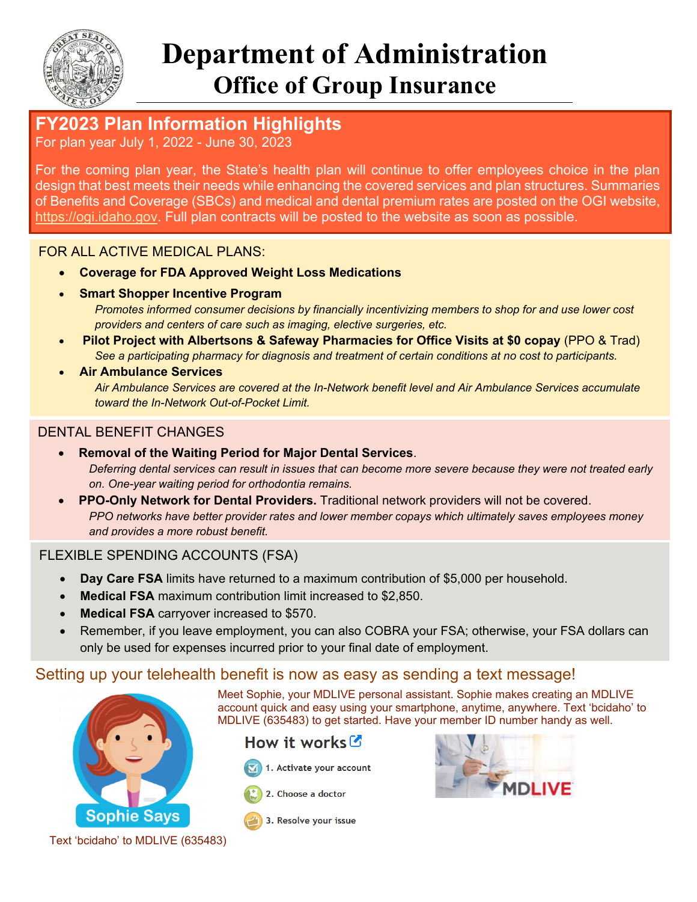

# **Department of Administration Office of Group Insurance**

# **FY2023 Plan Information Highlights**

For plan year July 1, 2022 - June 30, 2023

For the coming plan year, the State's health plan will continue to offer employees choice in the plan design that best meets their needs while enhancing the covered services and plan structures. Summaries of Benefits and Coverage (SBCs) and medical and dental premium rates are posted on the OGI website, https://ogi.idaho.gov. Full plan contracts will be posted to the website as soon as possible.

#### FOR ALL ACTIVE MEDICAL PLANS:

- **Coverage for FDA Approved Weight Loss Medications** 
	- **Smart Shopper Incentive Program** *Promotes informed consumer decisions by financially incentivizing members to shop for and use lower cost providers and centers of care such as imaging, elective surgeries, etc.*
- **Pilot Project with Albertsons & Safeway Pharmacies for Office Visits at \$0 copay** (PPO & Trad) *See a participating pharmacy for diagnosis and treatment of certain conditions at no cost to participants.*
- **Air Ambulance Services** *Air Ambulance Services are covered at the In-Network benefit level and Air Ambulance Services accumulate toward the In-Network Out-of-Pocket Limit.*

#### DENTAL BENEFIT CHANGES

- **Removal of the Waiting Period for Major Dental Services**. *Deferring dental services can result in issues that can become more severe because they were not treated early on. One-year waiting period for orthodontia remains.*
- **PPO-Only Network for Dental Providers.** Traditional network providers will not be covered. *PPO networks have better provider rates and lower member copays which ultimately saves employees money and provides a more robust benefit.*

#### FLEXIBLE SPENDING ACCOUNTS (FSA)

- **Day Care FSA** limits have returned to a maximum contribution of \$5,000 per household.
- **Medical FSA** maximum contribution limit increased to \$2,850.
- **Medical FSA** carryover increased to \$570.
- Remember, if you leave employment, you can also COBRA your FSA; otherwise, your FSA dollars can only be used for expenses incurred prior to your final date of employment.

### Setting up your telehealth benefit is now as easy as sending a text message!



Meet Sophie, your MDLIVE personal assistant. Sophie makes creating an MDLIVE account quick and easy using your smartphone, anytime, anywhere. Text 'bcidaho' to MDLIVE (635483) to get started. Have your member ID number handy as well.

## How it works  $\mathcal{C}$

- 1. Activate your account
- 2. Choose a doctor



3. Resolve your issue

Text 'bcidaho' to MDLIVE (635483)